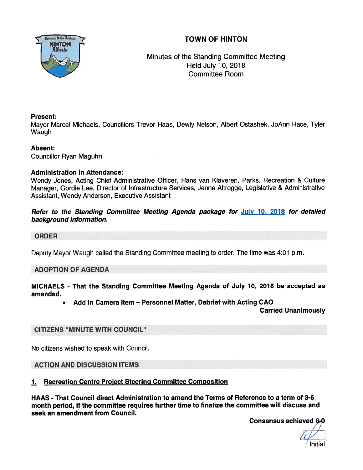# TOWN OF HINTON



# Minutes of the Standing Committee Meeting Held July 10, 2018 Committee Room

## Present:

Mayor Marcel Michaels, Councillors Trevor Haas, Dewly Nelson, Albert Ostashek, JoAnn Race, Tyler **Waugh** 

### Absent:

Councillor Ryan Maguhn

# Administration in Attendance:

Wendy Jones, Acting Chief Administrative Officer, Hans van Klaveren, Parks, Recreation & Culture Manager, Gordie Lee, Director of Infrastructure Services, Jenna Altrogge, Legislative & Administrative Assistant, Wendy Anderson, Executive Assistant

## Refer to the Standing Committee Meeting Agenda package for July 10, 2018 for detailed background information.

## ORDER

Deputy Mayor Waugh called the Standing Committee meeting to order. The time was 4:01 p.m.

# ADOPTION OF AGENDA

MICHAELS - That the Standing Committee Meeting Agenda of July 10, 2018 be accepted as amended.

•Add In Camera Item — Personnel Matter, Debrief with Acting CAO

Carried Unanimously

# CITIZENS 'MINUTE WITH COUNCIL"

No citizens wished to speak with Council.

ACTION AND DISCUSSION ITEMS

# 1. Recreation Centre Project Steering Committee Composition

HAAS - That Council direct Administration to amend the Terms of Reference to <sup>a</sup> term of 3-6 month period, if the committee requires further time to finalize the committee will discuss and seek an amendment from Council.

Consensus achieved 6-0

Initial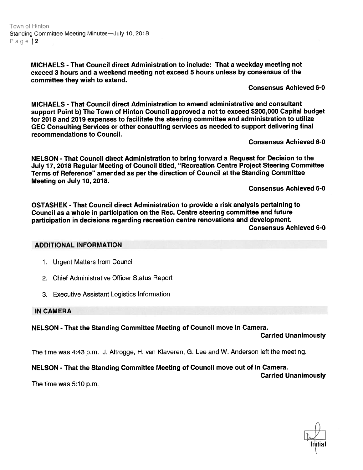MICHAELS - That Council direct Administration to include: That <sup>a</sup> weekday meeting not exceed 3 hours and <sup>a</sup> weekend meeting not exceed 5 hours unless by consensus of the committee they wish to extend.

#### Consensus Achieved 6-0

MICHAELS - That Council direct Administration to amend administrative and consultant suppor<sup>t</sup> Point b) The Town of Hinton Council approve<sup>d</sup> <sup>a</sup> not to exceed \$200,000 Capital budget for 2018 and 2019 expenses to facilitate the steering committee and administration to utilize GEC Consulting Services or other consulting services as needed to suppor<sup>t</sup> delivering final recommendations to Council.

#### Consensus Achieved 6-0

NELSON - That Council direct Administration to bring forward <sup>a</sup> Request for Decision to the July 17, <sup>2018</sup> Regular Meeting of Council titled, "Recreation Centre Project Steering Committee Terms of Reference" amended as per the direction of Council at the Standing Committee Meeting on July 10, 2018.

Consensus Achieved 6-0

OSTASHEK - That Council direct Administration to provide <sup>a</sup> risk analysis pertaining to Council as <sup>a</sup> whole in participation on the Rec. Centre steering committee and future participation in decisions regarding recreation centre renovations and development.

Consensus Achieved 6-0

#### ADDITIONAL INFORMATION

- 1. Urgent Matters from Council
- 2. Chief Administrative Officer Status Report
- 3. Executive Assistant Logistics Information

#### IN CAMERA

NELSON - That the Standing Committee Meeting of Council move In Camera.

Carried Unanimously

The time was 4:43 p.m. J. Altrogge, H. van Klaveren, C. Lee and W. Anderson left the meeting.

### NELSON - That the Standing Committee Meeting of Council move out of In Camera.

Carried Unanimously

The time was 5:10 p.m.

L lritial